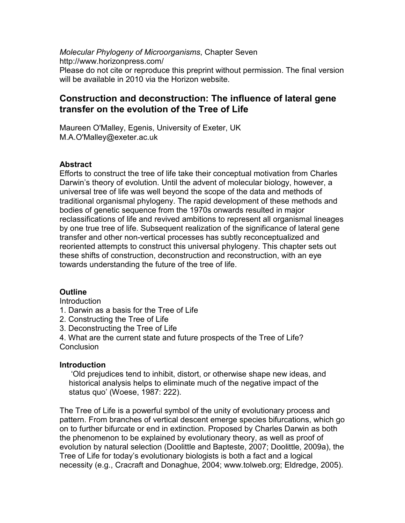*Molecular Phylogeny of Microorganisms*, Chapter Seven http://www.horizonpress.com/ Please do not cite or reproduce this preprint without permission. The final version will be available in 2010 via the Horizon website.

# **Construction and deconstruction: The influence of lateral gene transfer on the evolution of the Tree of Life**

Maureen O'Malley, Egenis, University of Exeter, UK M.A.O'Malley@exeter.ac.uk

#### **Abstract**

Efforts to construct the tree of life take their conceptual motivation from Charles Darwin's theory of evolution. Until the advent of molecular biology, however, a universal tree of life was well beyond the scope of the data and methods of traditional organismal phylogeny. The rapid development of these methods and bodies of genetic sequence from the 1970s onwards resulted in major reclassifications of life and revived ambitions to represent all organismal lineages by one true tree of life. Subsequent realization of the significance of lateral gene transfer and other non-vertical processes has subtly reconceptualized and reoriented attempts to construct this universal phylogeny. This chapter sets out these shifts of construction, deconstruction and reconstruction, with an eye towards understanding the future of the tree of life.

## **Outline**

Introduction

- 1. Darwin as a basis for the Tree of Life
- 2. Constructing the Tree of Life
- 3. Deconstructing the Tree of Life
- 4. What are the current state and future prospects of the Tree of Life? **Conclusion**

## **Introduction**

 'Old prejudices tend to inhibit, distort, or otherwise shape new ideas, and historical analysis helps to eliminate much of the negative impact of the status quo' (Woese, 1987: 222).

The Tree of Life is a powerful symbol of the unity of evolutionary process and pattern. From branches of vertical descent emerge species bifurcations, which go on to further bifurcate or end in extinction. Proposed by Charles Darwin as both the phenomenon to be explained by evolutionary theory, as well as proof of evolution by natural selection (Doolittle and Bapteste, 2007; Doolittle, 2009a), the Tree of Life for today's evolutionary biologists is both a fact and a logical necessity (e.g., Cracraft and Donaghue, 2004; www.tolweb.org; Eldredge, 2005).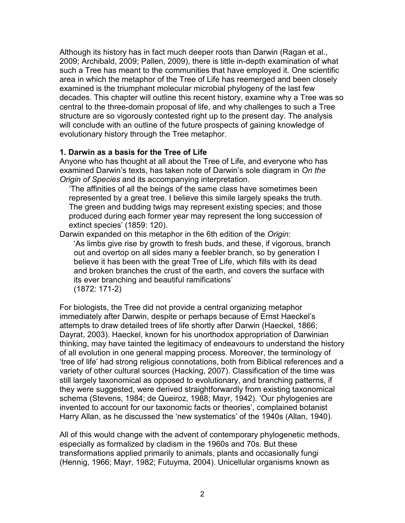Although its history has in fact much deeper roots than Darwin (Ragan et al., 2009; Archibald, 2009; Pallen, 2009), there is little in-depth examination of what such a Tree has meant to the communities that have employed it. One scientific area in which the metaphor of the Tree of Life has reemerged and been closely examined is the triumphant molecular microbial phylogeny of the last few decades. This chapter will outline this recent history, examine why a Tree was so central to the three-domain proposal of life, and why challenges to such a Tree structure are so vigorously contested right up to the present day. The analysis will conclude with an outline of the future prospects of gaining knowledge of evolutionary history through the Tree metaphor.

## **1. Darwin as a basis for the Tree of Life**

Anyone who has thought at all about the Tree of Life, and everyone who has examined Darwin's texts, has taken note of Darwin's sole diagram in *On the Origin of Species* and its accompanying interpretation.

'The affinities of all the beings of the same class have sometimes been represented by a great tree. I believe this simile largely speaks the truth. The green and budding twigs may represent existing species; and those produced during each former year may represent the long succession of extinct species' (1859: 120).

Darwin expanded on this metaphor in the 6th edition of the *Origin*: 'As limbs give rise by growth to fresh buds, and these, if vigorous, branch out and overtop on all sides many a feebler branch, so by generation I believe it has been with the great Tree of Life, which fills with its dead and broken branches the crust of the earth, and covers the surface with its ever branching and beautiful ramifications' (1872: 171-2)

For biologists, the Tree did not provide a central organizing metaphor immediately after Darwin, despite or perhaps because of Ernst Haeckel's attempts to draw detailed trees of life shortly after Darwin (Haeckel, 1866; Dayrat, 2003). Haeckel, known for his unorthodox appropriation of Darwinian thinking, may have tainted the legitimacy of endeavours to understand the history of all evolution in one general mapping process. Moreover, the terminology of 'tree of life' had strong religious connotations, both from Biblical references and a variety of other cultural sources (Hacking, 2007). Classification of the time was still largely taxonomical as opposed to evolutionary, and branching patterns, if they were suggested, were derived straightforwardly from existing taxonomical schema (Stevens, 1984; de Queiroz, 1988; Mayr, 1942). 'Our phylogenies are invented to account for our taxonomic facts or theories', complained botanist Harry Allan, as he discussed the 'new systematics' of the 1940s (Allan, 1940).

All of this would change with the advent of contemporary phylogenetic methods, especially as formalized by cladism in the 1960s and 70s. But these transformations applied primarily to animals, plants and occasionally fungi (Hennig, 1966; Mayr, 1982; Futuyma, 2004). Unicellular organisms known as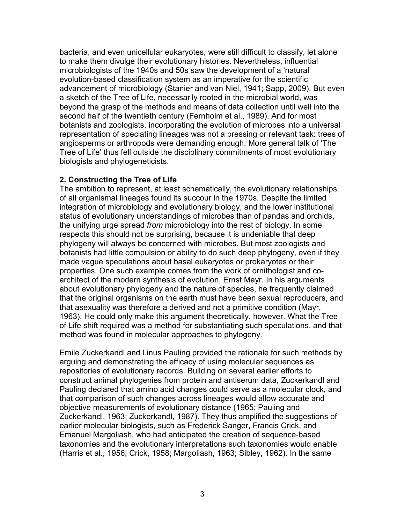bacteria, and even unicellular eukaryotes, were still difficult to classify, let alone to make them divulge their evolutionary histories. Nevertheless, influential microbiologists of the 1940s and 50s saw the development of a 'natural' evolution-based classification system as an imperative for the scientific advancement of microbiology (Stanier and van Niel, 1941; Sapp, 2009). But even a sketch of the Tree of Life, necessarily rooted in the microbial world, was beyond the grasp of the methods and means of data collection until well into the second half of the twentieth century (Fernholm et al., 1989). And for most botanists and zoologists, incorporating the evolution of microbes into a universal representation of speciating lineages was not a pressing or relevant task: trees of angiosperms or arthropods were demanding enough. More general talk of 'The Tree of Life' thus fell outside the disciplinary commitments of most evolutionary biologists and phylogeneticists.

## **2. Constructing the Tree of Life**

The ambition to represent, at least schematically, the evolutionary relationships of all organismal lineages found its succour in the 1970s. Despite the limited integration of microbiology and evolutionary biology, and the lower institutional status of evolutionary understandings of microbes than of pandas and orchids, the unifying urge spread *from* microbiology into the rest of biology. In some respects this should not be surprising, because it is undeniable that deep phylogeny will always be concerned with microbes. But most zoologists and botanists had little compulsion or ability to do such deep phylogeny, even if they made vague speculations about basal eukaryotes or prokaryotes or their properties. One such example comes from the work of ornithologist and coarchitect of the modern synthesis of evolution, Ernst Mayr. In his arguments about evolutionary phylogeny and the nature of species, he frequently claimed that the original organisms on the earth must have been sexual reproducers, and that asexuality was therefore a derived and not a primitive condition (Mayr, 1963). He could only make this argument theoretically, however. What the Tree of Life shift required was a method for substantiating such speculations, and that method was found in molecular approaches to phylogeny.

Emile Zuckerkandl and Linus Pauling provided the rationale for such methods by arguing and demonstrating the efficacy of using molecular sequences as repositories of evolutionary records. Building on several earlier efforts to construct animal phylogenies from protein and antiserum data, Zuckerkandl and Pauling declared that amino acid changes could serve as a molecular clock, and that comparison of such changes across lineages would allow accurate and objective measurements of evolutionary distance (1965; Pauling and Zuckerkandl, 1963; Zuckerkandl, 1987). They thus amplified the suggestions of earlier molecular biologists, such as Frederick Sanger, Francis Crick, and Emanuel Margoliash, who had anticipated the creation of sequence-based taxonomies and the evolutionary interpretations such taxonomies would enable (Harris et al., 1956; Crick, 1958; Margoliash, 1963; Sibley, 1962). In the same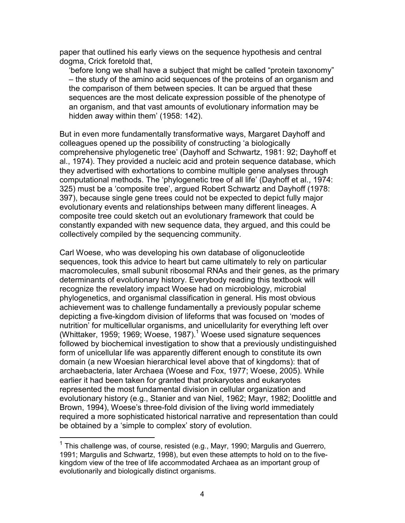paper that outlined his early views on the sequence hypothesis and central dogma, Crick foretold that,

'before long we shall have a subject that might be called "protein taxonomy" – the study of the amino acid sequences of the proteins of an organism and the comparison of them between species. It can be argued that these sequences are the most delicate expression possible of the phenotype of an organism, and that vast amounts of evolutionary information may be hidden away within them' (1958: 142).

But in even more fundamentally transformative ways, Margaret Dayhoff and colleagues opened up the possibility of constructing 'a biologically comprehensive phylogenetic tree' (Dayhoff and Schwartz, 1981: 92; Dayhoff et al., 1974). They provided a nucleic acid and protein sequence database, which they advertised with exhortations to combine multiple gene analyses through computational methods. The 'phylogenetic tree of all life' (Dayhoff et al., 1974: 325) must be a 'composite tree', argued Robert Schwartz and Dayhoff (1978: 397), because single gene trees could not be expected to depict fully major evolutionary events and relationships between many different lineages. A composite tree could sketch out an evolutionary framework that could be constantly expanded with new sequence data, they argued, and this could be collectively compiled by the sequencing community.

Carl Woese, who was developing his own database of oligonucleotide sequences, took this advice to heart but came ultimately to rely on particular macromolecules, small subunit ribosomal RNAs and their genes, as the primary determinants of evolutionary history. Everybody reading this textbook will recognize the revelatory impact Woese had on microbiology, microbial phylogenetics, and organismal classification in general. His most obvious achievement was to challenge fundamentally a previously popular scheme depicting a five-kingdom division of lifeforms that was focused on 'modes of nutrition' for multicellular organisms, and unicellularity for everything left over (Whittaker, 1959; 1969; Woese, 1987).<sup>1</sup> Woese used signature sequences followed by biochemical investigation to show that a previously undistinguished form of unicellular life was apparently different enough to constitute its own domain (a new Woesian hierarchical level above that of kingdoms): that of archaebacteria, later Archaea (Woese and Fox, 1977; Woese, 2005). While earlier it had been taken for granted that prokaryotes and eukaryotes represented the most fundamental division in cellular organization and evolutionary history (e.g., Stanier and van Niel, 1962; Mayr, 1982; Doolittle and Brown, 1994), Woese's three-fold division of the living world immediately required a more sophisticated historical narrative and representation than could be obtained by a 'simple to complex' story of evolution.

 $\overline{a}$ 

 $1$  This challenge was, of course, resisted (e.g., Mayr, 1990; Margulis and Guerrero, 1991; Margulis and Schwartz, 1998), but even these attempts to hold on to the fivekingdom view of the tree of life accommodated Archaea as an important group of evolutionarily and biologically distinct organisms.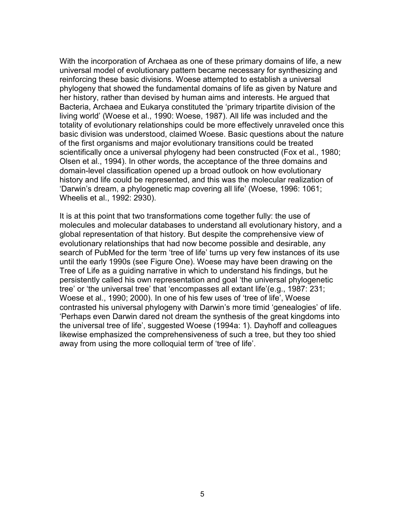With the incorporation of Archaea as one of these primary domains of life, a new universal model of evolutionary pattern became necessary for synthesizing and reinforcing these basic divisions. Woese attempted to establish a universal phylogeny that showed the fundamental domains of life as given by Nature and her history, rather than devised by human aims and interests. He argued that Bacteria, Archaea and Eukarya constituted the 'primary tripartite division of the living world' (Woese et al., 1990: Woese, 1987). All life was included and the totality of evolutionary relationships could be more effectively unraveled once this basic division was understood, claimed Woese. Basic questions about the nature of the first organisms and major evolutionary transitions could be treated scientifically once a universal phylogeny had been constructed (Fox et al., 1980; Olsen et al., 1994). In other words, the acceptance of the three domains and domain-level classification opened up a broad outlook on how evolutionary history and life could be represented, and this was the molecular realization of 'Darwin's dream, a phylogenetic map covering all life' (Woese, 1996: 1061; Wheelis et al., 1992: 2930).

It is at this point that two transformations come together fully: the use of molecules and molecular databases to understand all evolutionary history, and a global representation of that history. But despite the comprehensive view of evolutionary relationships that had now become possible and desirable, any search of PubMed for the term 'tree of life' turns up very few instances of its use until the early 1990s (see Figure One). Woese may have been drawing on the Tree of Life as a guiding narrative in which to understand his findings, but he persistently called his own representation and goal 'the universal phylogenetic tree' or 'the universal tree' that 'encompasses all extant life'(e.g., 1987: 231; Woese et al., 1990; 2000). In one of his few uses of 'tree of life', Woese contrasted his universal phylogeny with Darwin's more timid 'genealogies' of life. 'Perhaps even Darwin dared not dream the synthesis of the great kingdoms into the universal tree of life', suggested Woese (1994a: 1). Dayhoff and colleagues likewise emphasized the comprehensiveness of such a tree, but they too shied away from using the more colloquial term of 'tree of life'.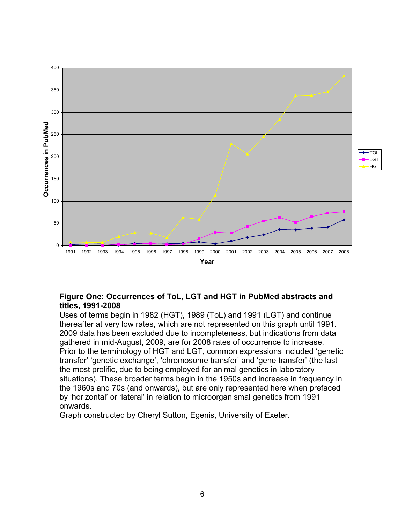

## **Figure One: Occurrences of ToL, LGT and HGT in PubMed abstracts and titles, 1991-2008**

Uses of terms begin in 1982 (HGT), 1989 (ToL) and 1991 (LGT) and continue thereafter at very low rates, which are not represented on this graph until 1991. 2009 data has been excluded due to incompleteness, but indications from data gathered in mid-August, 2009, are for 2008 rates of occurrence to increase. Prior to the terminology of HGT and LGT, common expressions included 'genetic transfer' 'genetic exchange', 'chromosome transfer' and 'gene transfer' (the last the most prolific, due to being employed for animal genetics in laboratory situations). These broader terms begin in the 1950s and increase in frequency in the 1960s and 70s (and onwards), but are only represented here when prefaced by 'horizontal' or 'lateral' in relation to microorganismal genetics from 1991 onwards.

Graph constructed by Cheryl Sutton, Egenis, University of Exeter.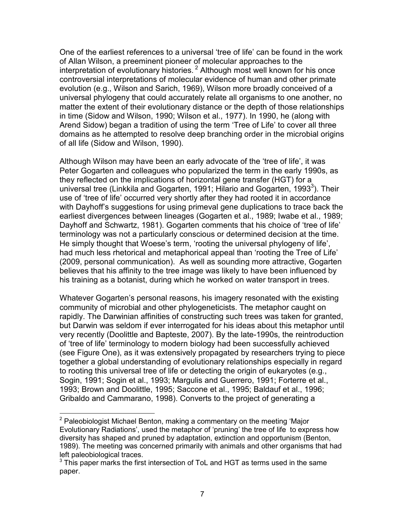One of the earliest references to a universal 'tree of life' can be found in the work of Allan Wilson, a preeminent pioneer of molecular approaches to the interpretation of evolutionary histories.<sup>2</sup> Although most well known for his once controversial interpretations of molecular evidence of human and other primate evolution (e.g., Wilson and Sarich, 1969), Wilson more broadly conceived of a universal phylogeny that could accurately relate all organisms to one another, no matter the extent of their evolutionary distance or the depth of those relationships in time (Sidow and Wilson, 1990; Wilson et al., 1977). In 1990, he (along with Arend Sidow) began a tradition of using the term 'Tree of Life' to cover all three domains as he attempted to resolve deep branching order in the microbial origins of all life (Sidow and Wilson, 1990).

Although Wilson may have been an early advocate of the 'tree of life', it was Peter Gogarten and colleagues who popularized the term in the early 1990s, as they reflected on the implications of horizontal gene transfer (HGT) for a universal tree (Linkkila and Gogarten, 1991; Hilario and Gogarten, 1993<sup>3</sup>). Their use of 'tree of life' occurred very shortly after they had rooted it in accordance with Dayhoff's suggestions for using primeval gene duplications to trace back the earliest divergences between lineages (Gogarten et al., 1989; Iwabe et al., 1989; Dayhoff and Schwartz, 1981). Gogarten comments that his choice of 'tree of life' terminology was not a particularly conscious or determined decision at the time. He simply thought that Woese's term, 'rooting the universal phylogeny of life', had much less rhetorical and metaphorical appeal than 'rooting the Tree of Life' (2009, personal communication). As well as sounding more attractive, Gogarten believes that his affinity to the tree image was likely to have been influenced by his training as a botanist, during which he worked on water transport in trees.

Whatever Gogarten's personal reasons, his imagery resonated with the existing community of microbial and other phylogeneticists. The metaphor caught on rapidly. The Darwinian affinities of constructing such trees was taken for granted, but Darwin was seldom if ever interrogated for his ideas about this metaphor until very recently (Doolittle and Bapteste, 2007). By the late-1990s, the reintroduction of 'tree of life' terminology to modern biology had been successfully achieved (see Figure One), as it was extensively propagated by researchers trying to piece together a global understanding of evolutionary relationships especially in regard to rooting this universal tree of life or detecting the origin of eukaryotes (e.g., Sogin, 1991; Sogin et al., 1993; Margulis and Guerrero, 1991; Forterre et al., 1993; Brown and Doolittle, 1995; Saccone et al., 1995; Baldauf et al., 1996; Gribaldo and Cammarano, 1998). Converts to the project of generating a

 $\overline{a}$ <sup>2</sup> Paleobiologist Michael Benton, making a commentary on the meeting 'Major Evolutionary Radiations', used the metaphor of 'pruning' the tree of life to express how diversity has shaped and pruned by adaptation, extinction and opportunism (Benton, 1989). The meeting was concerned primarily with animals and other organisms that had left paleobiological traces.

 $3$  This paper marks the first intersection of ToL and HGT as terms used in the same paper.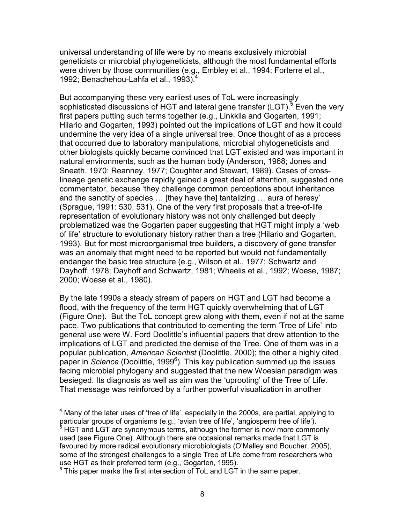universal understanding of life were by no means exclusively microbial geneticists or microbial phylogeneticists, although the most fundamental efforts were driven by those communities (e.g., Embley et al., 1994; Forterre et al., 1992; Benachehou-Lahfa et al., 1993).<sup>4</sup>

But accompanying these very earliest uses of ToL were increasingly sophisticated discussions of HGT and lateral gene transfer (LGT).<sup>5</sup> Even the very first papers putting such terms together (e.g., Linkkila and Gogarten, 1991; Hilario and Gogarten, 1993) pointed out the implications of LGT and how it could undermine the very idea of a single universal tree. Once thought of as a process that occurred due to laboratory manipulations, microbial phylogeneticists and other biologists quickly became convinced that LGT existed and was important in natural environments, such as the human body (Anderson, 1968; Jones and Sneath, 1970; Reanney, 1977; Coughter and Stewart, 1989). Cases of crosslineage genetic exchange rapidly gained a great deal of attention, suggested one commentator, because 'they challenge common perceptions about inheritance and the sanctity of species … [they have the] tantalizing … aura of heresy' (Sprague, 1991: 530, 531). One of the very first proposals that a tree-of-life representation of evolutionary history was not only challenged but deeply problematized was the Gogarten paper suggesting that HGT might imply a 'web of life' structure to evolutionary history rather than a tree (Hilario and Gogarten, 1993). But for most microorganismal tree builders, a discovery of gene transfer was an anomaly that might need to be reported but would not fundamentally endanger the basic tree structure (e.g., Wilson et al., 1977; Schwartz and Dayhoff, 1978; Dayhoff and Schwartz, 1981; Wheelis et al., 1992; Woese, 1987; 2000; Woese et al., 1980).

By the late 1990s a steady stream of papers on HGT and LGT had become a flood, with the frequency of the term HGT quickly overwhelming that of LGT (Figure One). But the ToL concept grew along with them, even if not at the same pace. Two publications that contributed to cementing the term 'Tree of Life' into general use were W. Ford Doolittle's influential papers that drew attention to the implications of LGT and predicted the demise of the Tree. One of them was in a popular publication, *American Scientist* (Doolittle, 2000); the other a highly cited paper in *Science* (Doolittle, 1999<sup>6</sup>). This key publication summed up the issues facing microbial phylogeny and suggested that the new Woesian paradigm was besieged. Its diagnosis as well as aim was the 'uprooting' of the Tree of Life. That message was reinforced by a further powerful visualization in another

 $\overline{a}$ <sup>4</sup> Many of the later uses of 'tree of life', especially in the 2000s, are partial, applying to particular groups of organisms (e.g., 'avian tree of life', 'angiosperm tree of life').

<sup>&</sup>lt;sup>5</sup> HGT and LGT are synonymous terms, although the former is now more commonly used (see Figure One). Although there are occasional remarks made that LGT is favoured by more radical evolutionary microbiologists (O'Malley and Boucher, 2005), some of the strongest challenges to a single Tree of Life come from researchers who use HGT as their preferred term (e.g., Gogarten, 1995).

<sup>&</sup>lt;sup>6</sup> This paper marks the first intersection of ToL and LGT in the same paper.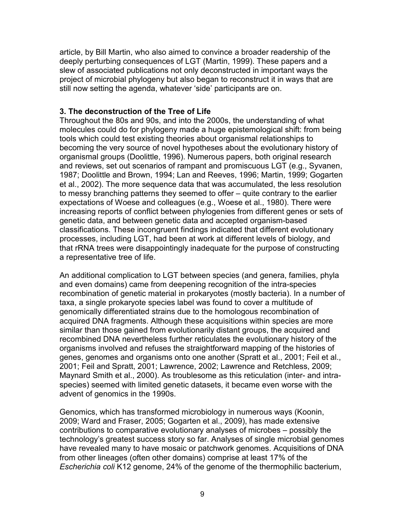article, by Bill Martin, who also aimed to convince a broader readership of the deeply perturbing consequences of LGT (Martin, 1999). These papers and a slew of associated publications not only deconstructed in important ways the project of microbial phylogeny but also began to reconstruct it in ways that are still now setting the agenda, whatever 'side' participants are on.

## **3. The deconstruction of the Tree of Life**

Throughout the 80s and 90s, and into the 2000s, the understanding of what molecules could do for phylogeny made a huge epistemological shift: from being tools which could test existing theories about organismal relationships to becoming the very source of novel hypotheses about the evolutionary history of organismal groups (Doolittle, 1996). Numerous papers, both original research and reviews, set out scenarios of rampant and promiscuous LGT (e.g., Syvanen, 1987; Doolittle and Brown, 1994; Lan and Reeves, 1996; Martin, 1999; Gogarten et al., 2002). The more sequence data that was accumulated, the less resolution to messy branching patterns they seemed to offer – quite contrary to the earlier expectations of Woese and colleagues (e.g., Woese et al., 1980). There were increasing reports of conflict between phylogenies from different genes or sets of genetic data, and between genetic data and accepted organism-based classifications. These incongruent findings indicated that different evolutionary processes, including LGT, had been at work at different levels of biology, and that rRNA trees were disappointingly inadequate for the purpose of constructing a representative tree of life.

An additional complication to LGT between species (and genera, families, phyla and even domains) came from deepening recognition of the intra-species recombination of genetic material in prokaryotes (mostly bacteria). In a number of taxa, a single prokaryote species label was found to cover a multitude of genomically differentiated strains due to the homologous recombination of acquired DNA fragments. Although these acquisitions within species are more similar than those gained from evolutionarily distant groups, the acquired and recombined DNA nevertheless further reticulates the evolutionary history of the organisms involved and refuses the straightforward mapping of the histories of genes, genomes and organisms onto one another (Spratt et al., 2001; Feil et al., 2001; Feil and Spratt, 2001; Lawrence, 2002; Lawrence and Retchless, 2009; Maynard Smith et al., 2000). As troublesome as this reticulation (inter- and intraspecies) seemed with limited genetic datasets, it became even worse with the advent of genomics in the 1990s.

Genomics, which has transformed microbiology in numerous ways (Koonin, 2009; Ward and Fraser, 2005; Gogarten et al., 2009), has made extensive contributions to comparative evolutionary analyses of microbes – possibly the technology's greatest success story so far. Analyses of single microbial genomes have revealed many to have mosaic or patchwork genomes. Acquisitions of DNA from other lineages (often other domains) comprise at least 17% of the *Escherichia coli* K12 genome, 24% of the genome of the thermophilic bacterium,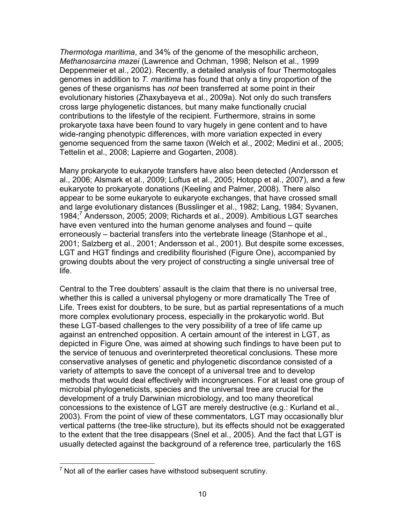*Thermotoga maritima*, and 34% of the genome of the mesophilic archeon, *Methanosarcina mazei* (Lawrence and Ochman, 1998; Nelson et al., 1999 Deppenmeier et al., 2002). Recently, a detailed analysis of four Thermotogales genomes in addition to *T. maritima* has found that only a tiny proportion of the genes of these organisms has *not* been transferred at some point in their evolutionary histories (Zhaxybayeva et al., 2009a). Not only do such transfers cross large phylogenetic distances, but many make functionally crucial contributions to the lifestyle of the recipient. Furthermore, strains in some prokaryote taxa have been found to vary hugely in gene content and to have wide-ranging phenotypic differences, with more variation expected in every genome sequenced from the same taxon (Welch et al., 2002; Medini et al., 2005; Tettelin et al., 2008; Lapierre and Gogarten, 2008).

Many prokaryote to eukaryote transfers have also been detected (Andersson et al., 2006; Alsmark et al., 2009; Loftus et al., 2005; Hotopp et al., 2007), and a few eukaryote to prokaryote donations (Keeling and Palmer, 2008). There also appear to be some eukaryote to eukaryote exchanges, that have crossed small and large evolutionary distances (Busslinger et al., 1982; Lang, 1984; Syvanen, 1984;<sup>7</sup> Andersson, 2005; 2009; Richards et al., 2009). Ambitious LGT searches have even ventured into the human genome analyses and found – quite erroneously – bacterial transfers into the vertebrate lineage (Stanhope et al., 2001; Salzberg et al., 2001; Andersson et al., 2001). But despite some excesses, LGT and HGT findings and credibility flourished (Figure One), accompanied by growing doubts about the very project of constructing a single universal tree of life.

Central to the Tree doubters' assault is the claim that there is no universal tree, whether this is called a universal phylogeny or more dramatically The Tree of Life. Trees exist for doubters, to be sure, but as partial representations of a much more complex evolutionary process, especially in the prokaryotic world. But these LGT-based challenges to the very possibility of a tree of life came up against an entrenched opposition. A certain amount of the interest in LGT, as depicted in Figure One, was aimed at showing such findings to have been put to the service of tenuous and overinterpreted theoretical conclusions. These more conservative analyses of genetic and phylogenetic discordance consisted of a variety of attempts to save the concept of a universal tree and to develop methods that would deal effectively with incongruences. For at least one group of microbial phylogeneticists, species and the universal tree are crucial for the development of a truly Darwinian microbiology, and too many theoretical concessions to the existence of LGT are merely destructive (e.g.: Kurland et al., 2003). From the point of view of these commentators, LGT may occasionally blur vertical patterns (the tree-like structure), but its effects should not be exaggerated to the extent that the tree disappears (Snel et al., 2005). And the fact that LGT is usually detected against the background of a reference tree, particularly the 16S

 $\overline{a}$ 

 $<sup>7</sup>$  Not all of the earlier cases have withstood subsequent scrutiny.</sup>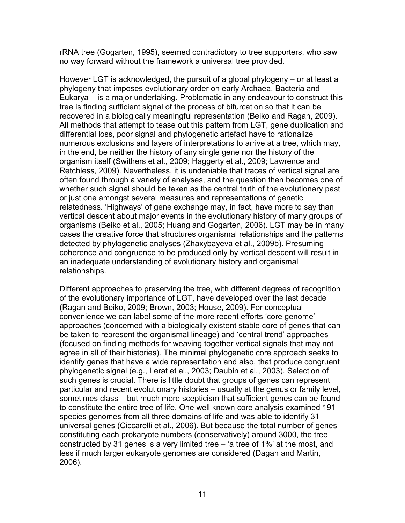rRNA tree (Gogarten, 1995), seemed contradictory to tree supporters, who saw no way forward without the framework a universal tree provided.

However LGT is acknowledged, the pursuit of a global phylogeny – or at least a phylogeny that imposes evolutionary order on early Archaea, Bacteria and Eukarya – is a major undertaking. Problematic in any endeavour to construct this tree is finding sufficient signal of the process of bifurcation so that it can be recovered in a biologically meaningful representation (Beiko and Ragan, 2009). All methods that attempt to tease out this pattern from LGT, gene duplication and differential loss, poor signal and phylogenetic artefact have to rationalize numerous exclusions and layers of interpretations to arrive at a tree, which may, in the end, be neither the history of any single gene nor the history of the organism itself (Swithers et al., 2009; Haggerty et al., 2009; Lawrence and Retchless, 2009). Nevertheless, it is undeniable that traces of vertical signal are often found through a variety of analyses, and the question then becomes one of whether such signal should be taken as the central truth of the evolutionary past or just one amongst several measures and representations of genetic relatedness. 'Highways' of gene exchange may, in fact, have more to say than vertical descent about major events in the evolutionary history of many groups of organisms (Beiko et al., 2005; Huang and Gogarten, 2006). LGT may be in many cases the creative force that structures organismal relationships and the patterns detected by phylogenetic analyses (Zhaxybayeva et al., 2009b). Presuming coherence and congruence to be produced only by vertical descent will result in an inadequate understanding of evolutionary history and organismal relationships.

Different approaches to preserving the tree, with different degrees of recognition of the evolutionary importance of LGT, have developed over the last decade (Ragan and Beiko, 2009; Brown, 2003; House, 2009). For conceptual convenience we can label some of the more recent efforts 'core genome' approaches (concerned with a biologically existent stable core of genes that can be taken to represent the organismal lineage) and 'central trend' approaches (focused on finding methods for weaving together vertical signals that may not agree in all of their histories). The minimal phylogenetic core approach seeks to identify genes that have a wide representation and also, that produce congruent phylogenetic signal (e.g., Lerat et al., 2003; Daubin et al., 2003). Selection of such genes is crucial. There is little doubt that groups of genes can represent particular and recent evolutionary histories – usually at the genus or family level, sometimes class – but much more scepticism that sufficient genes can be found to constitute the entire tree of life. One well known core analysis examined 191 species genomes from all three domains of life and was able to identify 31 universal genes (Ciccarelli et al., 2006). But because the total number of genes constituting each prokaryote numbers (conservatively) around 3000, the tree constructed by 31 genes is a very limited tree – 'a tree of 1%' at the most, and less if much larger eukaryote genomes are considered (Dagan and Martin, 2006).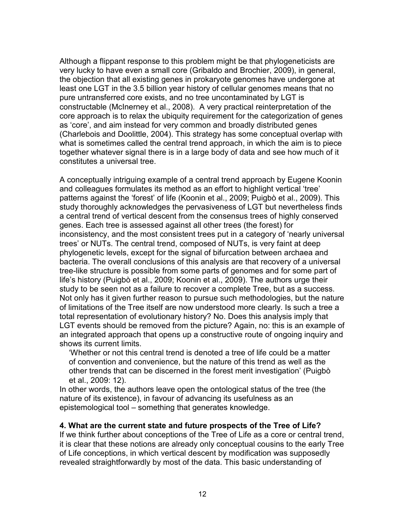Although a flippant response to this problem might be that phylogeneticists are very lucky to have even a small core (Gribaldo and Brochier, 2009), in general, the objection that all existing genes in prokaryote genomes have undergone at least one LGT in the 3.5 billion year history of cellular genomes means that no pure untransferred core exists, and no tree uncontaminated by LGT is constructable (McInerney et al., 2008). A very practical reinterpretation of the core approach is to relax the ubiquity requirement for the categorization of genes as 'core', and aim instead for very common and broadly distributed genes (Charlebois and Doolittle, 2004). This strategy has some conceptual overlap with what is sometimes called the central trend approach, in which the aim is to piece together whatever signal there is in a large body of data and see how much of it constitutes a universal tree.

A conceptually intriguing example of a central trend approach by Eugene Koonin and colleagues formulates its method as an effort to highlight vertical 'tree' patterns against the 'forest' of life (Koonin et al., 2009; Puigbò et al., 2009). This study thoroughly acknowledges the pervasiveness of LGT but nevertheless finds a central trend of vertical descent from the consensus trees of highly conserved genes. Each tree is assessed against all other trees (the forest) for inconsistency, and the most consistent trees put in a category of 'nearly universal trees' or NUTs. The central trend, composed of NUTs, is very faint at deep phylogenetic levels, except for the signal of bifurcation between archaea and bacteria. The overall conclusions of this analysis are that recovery of a universal tree-like structure is possible from some parts of genomes and for some part of life's history (Puigbò et al., 2009; Koonin et al., 2009). The authors urge their study to be seen not as a failure to recover a complete Tree, but as a success. Not only has it given further reason to pursue such methodologies, but the nature of limitations of the Tree itself are now understood more clearly. Is such a tree a total representation of evolutionary history? No. Does this analysis imply that LGT events should be removed from the picture? Again, no: this is an example of an integrated approach that opens up a constructive route of ongoing inquiry and shows its current limits.

'Whether or not this central trend is denoted a tree of life could be a matter of convention and convenience, but the nature of this trend as well as the other trends that can be discerned in the forest merit investigation' (Puigbò et al., 2009: 12).

In other words, the authors leave open the ontological status of the tree (the nature of its existence), in favour of advancing its usefulness as an epistemological tool – something that generates knowledge.

#### **4. What are the current state and future prospects of the Tree of Life?**

If we think further about conceptions of the Tree of Life as a core or central trend, it is clear that these notions are already only conceptual cousins to the early Tree of Life conceptions, in which vertical descent by modification was supposedly revealed straightforwardly by most of the data. This basic understanding of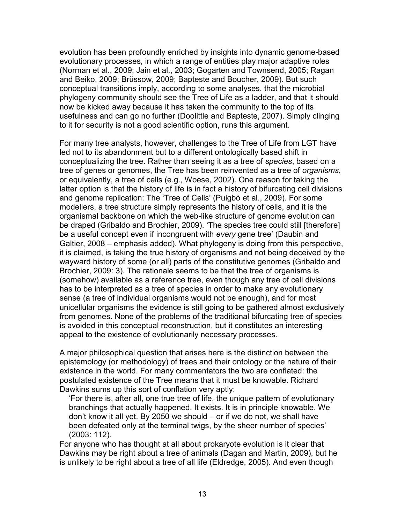evolution has been profoundly enriched by insights into dynamic genome-based evolutionary processes, in which a range of entities play major adaptive roles (Norman et al., 2009; Jain et al., 2003; Gogarten and Townsend, 2005; Ragan and Beiko, 2009; Brüssow, 2009; Bapteste and Boucher, 2009). But such conceptual transitions imply, according to some analyses, that the microbial phylogeny community should see the Tree of Life as a ladder, and that it should now be kicked away because it has taken the community to the top of its usefulness and can go no further (Doolittle and Bapteste, 2007). Simply clinging to it for security is not a good scientific option, runs this argument.

For many tree analysts, however, challenges to the Tree of Life from LGT have led not to its abandonment but to a different ontologically based shift in conceptualizing the tree. Rather than seeing it as a tree of *species*, based on a tree of genes or genomes, the Tree has been reinvented as a tree of *organisms*, or equivalently, a tree of cells (e.g., Woese, 2002). One reason for taking the latter option is that the history of life is in fact a history of bifurcating cell divisions and genome replication: The 'Tree of Cells' (Puigbò et al., 2009). For some modellers, a tree structure simply represents the history of cells, and it is the organismal backbone on which the web-like structure of genome evolution can be draped (Gribaldo and Brochier, 2009). 'The species tree could still [therefore] be a useful concept even if incongruent with *every* gene tree' (Daubin and Galtier, 2008 – emphasis added). What phylogeny is doing from this perspective, it is claimed, is taking the true history of organisms and not being deceived by the wayward history of some (or all) parts of the constitutive genomes (Gribaldo and Brochier, 2009: 3). The rationale seems to be that the tree of organisms is (somehow) available as a reference tree, even though any tree of cell divisions has to be interpreted as a tree of species in order to make any evolutionary sense (a tree of individual organisms would not be enough), and for most unicellular organisms the evidence is still going to be gathered almost exclusively from genomes. None of the problems of the traditional bifurcating tree of species is avoided in this conceptual reconstruction, but it constitutes an interesting appeal to the existence of evolutionarily necessary processes.

A major philosophical question that arises here is the distinction between the epistemology (or methodology) of trees and their ontology or the nature of their existence in the world. For many commentators the two are conflated: the postulated existence of the Tree means that it must be knowable. Richard Dawkins sums up this sort of conflation very aptly:

'For there is, after all, one true tree of life, the unique pattern of evolutionary branchings that actually happened. It exists. It is in principle knowable. We don't know it all yet. By 2050 we should – or if we do not, we shall have been defeated only at the terminal twigs, by the sheer number of species' (2003: 112).

For anyone who has thought at all about prokaryote evolution is it clear that Dawkins may be right about a tree of animals (Dagan and Martin, 2009), but he is unlikely to be right about a tree of all life (Eldredge, 2005). And even though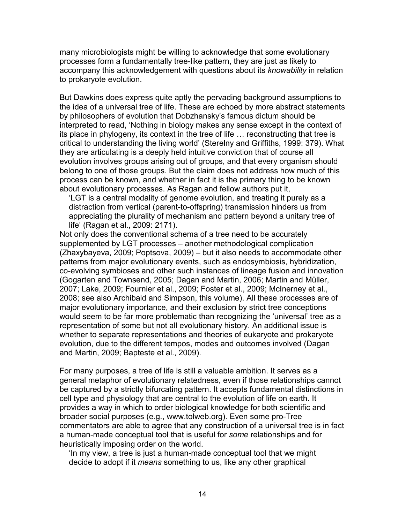many microbiologists might be willing to acknowledge that some evolutionary processes form a fundamentally tree-like pattern, they are just as likely to accompany this acknowledgement with questions about its *knowability* in relation to prokaryote evolution.

But Dawkins does express quite aptly the pervading background assumptions to the idea of a universal tree of life. These are echoed by more abstract statements by philosophers of evolution that Dobzhansky's famous dictum should be interpreted to read, 'Nothing in biology makes any sense except in the context of its place in phylogeny, its context in the tree of life … reconstructing that tree is critical to understanding the living world' (Sterelny and Griffiths, 1999: 379). What they are articulating is a deeply held intuitive conviction that of course all evolution involves groups arising out of groups, and that every organism should belong to one of those groups. But the claim does not address how much of this process can be known, and whether in fact it is the primary thing to be known about evolutionary processes. As Ragan and fellow authors put it,

'LGT is a central modality of genome evolution, and treating it purely as a distraction from vertical (parent-to-offspring) transmission hinders us from appreciating the plurality of mechanism and pattern beyond a unitary tree of life' (Ragan et al., 2009: 2171).

Not only does the conventional schema of a tree need to be accurately supplemented by LGT processes – another methodological complication (Zhaxybayeva, 2009; Poptsova, 2009) – but it also needs to accommodate other patterns from major evolutionary events, such as endosymbiosis, hybridization, co-evolving symbioses and other such instances of lineage fusion and innovation (Gogarten and Townsend, 2005; Dagan and Martin, 2006; Martin and Müller, 2007; Lake, 2009; Fournier et al., 2009; Foster et al., 2009; McInerney et al., 2008; see also Archibald and Simpson, this volume). All these processes are of major evolutionary importance, and their exclusion by strict tree conceptions would seem to be far more problematic than recognizing the 'universal' tree as a representation of some but not all evolutionary history. An additional issue is whether to separate representations and theories of eukaryote and prokaryote evolution, due to the different tempos, modes and outcomes involved (Dagan and Martin, 2009; Bapteste et al., 2009).

For many purposes, a tree of life is still a valuable ambition. It serves as a general metaphor of evolutionary relatedness, even if those relationships cannot be captured by a strictly bifurcating pattern. It accepts fundamental distinctions in cell type and physiology that are central to the evolution of life on earth. It provides a way in which to order biological knowledge for both scientific and broader social purposes (e.g., www.tolweb.org). Even some pro-Tree commentators are able to agree that any construction of a universal tree is in fact a human-made conceptual tool that is useful for *some* relationships and for heuristically imposing order on the world.

'In my view, a tree is just a human-made conceptual tool that we might decide to adopt if it *means* something to us, like any other graphical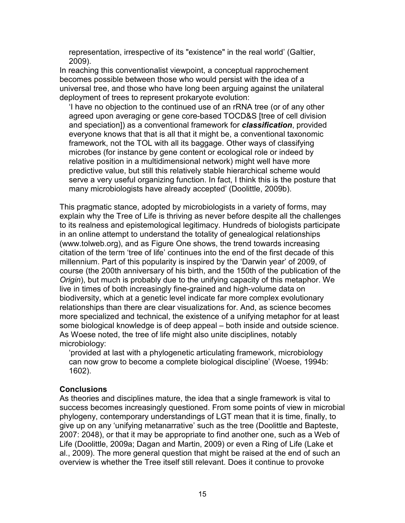representation, irrespective of its "existence" in the real world' (Galtier, 2009).

In reaching this conventionalist viewpoint, a conceptual rapprochement becomes possible between those who would persist with the idea of a universal tree, and those who have long been arguing against the unilateral deployment of trees to represent prokaryote evolution:

'I have no objection to the continued use of an rRNA tree (or of any other agreed upon averaging or gene core-based TOCD&S [tree of cell division and speciation]) as a conventional framework for *classification*, provided everyone knows that that is all that it might be, a conventional taxonomic framework, not the TOL with all its baggage. Other ways of classifying microbes (for instance by gene content or ecological role or indeed by relative position in a multidimensional network) might well have more predictive value, but still this relatively stable hierarchical scheme would serve a very useful organizing function. In fact, I think this is the posture that many microbiologists have already accepted' (Doolittle, 2009b).

This pragmatic stance, adopted by microbiologists in a variety of forms, may explain why the Tree of Life is thriving as never before despite all the challenges to its realness and epistemological legitimacy. Hundreds of biologists participate in an online attempt to understand the totality of genealogical relationships (www.tolweb.org), and as Figure One shows, the trend towards increasing citation of the term 'tree of life' continues into the end of the first decade of this millennium. Part of this popularity is inspired by the 'Darwin year' of 2009, of course (the 200th anniversary of his birth, and the 150th of the publication of the *Origin*), but much is probably due to the unifying capacity of this metaphor. We live in times of both increasingly fine-grained and high-volume data on biodiversity, which at a genetic level indicate far more complex evolutionary relationships than there are clear visualizations for. And, as science becomes more specialized and technical, the existence of a unifying metaphor for at least some biological knowledge is of deep appeal – both inside and outside science. As Woese noted, the tree of life might also unite disciplines, notably microbiology:

'provided at last with a phylogenetic articulating framework, microbiology can now grow to become a complete biological discipline' (Woese, 1994b: 1602).

## **Conclusions**

As theories and disciplines mature, the idea that a single framework is vital to success becomes increasingly questioned. From some points of view in microbial phylogeny, contemporary understandings of LGT mean that it is time, finally, to give up on any 'unifying metanarrative' such as the tree (Doolittle and Bapteste, 2007: 2048), or that it may be appropriate to find another one, such as a Web of Life (Doolittle, 2009a; Dagan and Martin, 2009) or even a Ring of Life (Lake et al., 2009). The more general question that might be raised at the end of such an overview is whether the Tree itself still relevant. Does it continue to provoke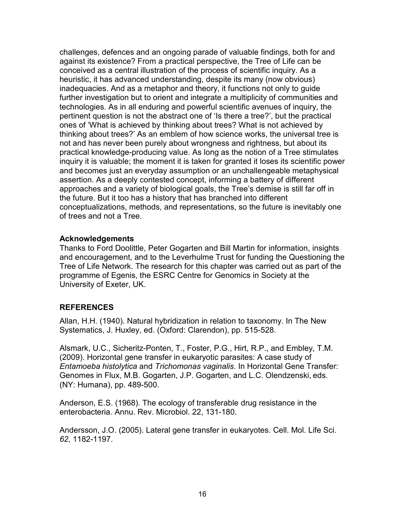challenges, defences and an ongoing parade of valuable findings, both for and against its existence? From a practical perspective, the Tree of Life can be conceived as a central illustration of the process of scientific inquiry. As a heuristic, it has advanced understanding, despite its many (now obvious) inadequacies. And as a metaphor and theory, it functions not only to guide further investigation but to orient and integrate a multiplicity of communities and technologies. As in all enduring and powerful scientific avenues of inquiry, the pertinent question is not the abstract one of 'Is there a tree?', but the practical ones of 'What is achieved by thinking about trees? What is not achieved by thinking about trees?' As an emblem of how science works, the universal tree is not and has never been purely about wrongness and rightness, but about its practical knowledge-producing value. As long as the notion of a Tree stimulates inquiry it is valuable; the moment it is taken for granted it loses its scientific power and becomes just an everyday assumption or an unchallengeable metaphysical assertion. As a deeply contested concept, informing a battery of different approaches and a variety of biological goals, the Tree's demise is still far off in the future. But it too has a history that has branched into different conceptualizations, methods, and representations, so the future is inevitably one of trees and not a Tree.

#### **Acknowledgements**

Thanks to Ford Doolittle, Peter Gogarten and Bill Martin for information, insights and encouragement, and to the Leverhulme Trust for funding the Questioning the Tree of Life Network. The research for this chapter was carried out as part of the programme of Egenis, the ESRC Centre for Genomics in Society at the University of Exeter, UK.

## **REFERENCES**

Allan, H.H. (1940). Natural hybridization in relation to taxonomy. In The New Systematics, J. Huxley, ed. (Oxford: Clarendon), pp. 515-528.

Alsmark, U.C., Sicheritz-Ponten, T., Foster, P.G., Hirt, R.P., and Embley, T.M. (2009). Horizontal gene transfer in eukaryotic parasites: A case study of *Entamoeba histolytica* and *Trichomonas vaginalis*. In Horizontal Gene Transfer: Genomes in Flux, M.B. Gogarten, J.P. Gogarten, and L.C. Olendzenski, eds. (NY: Humana), pp. 489-500.

Anderson, E.S. (1968). The ecology of transferable drug resistance in the enterobacteria. Annu. Rev. Microbiol. 22, 131-180.

Andersson, J.O. (2005). Lateral gene transfer in eukaryotes. Cell. Mol. Life Sci. *62*, 1182-1197.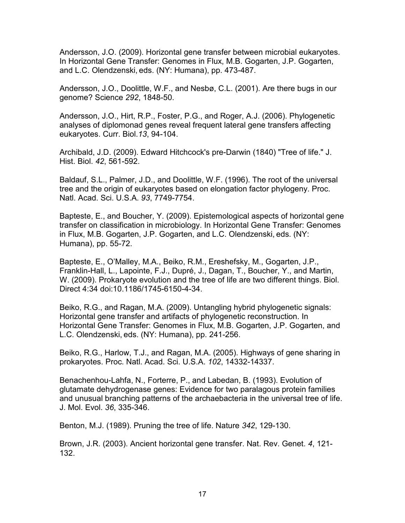Andersson, J.O. (2009). Horizontal gene transfer between microbial eukaryotes. In Horizontal Gene Transfer: Genomes in Flux, M.B. Gogarten, J.P. Gogarten, and L.C. Olendzenski, eds. (NY: Humana), pp. 473-487.

Andersson, J.O., Doolittle, W.F., and Nesbø, C.L. (2001). Are there bugs in our genome? Science *292*, 1848-50.

Andersson, J.O., Hirt, R.P., Foster, P.G., and Roger, A.J. (2006). Phylogenetic analyses of diplomonad genes reveal frequent lateral gene transfers affecting eukaryotes. Curr. Biol.*13*, 94-104.

Archibald, J.D. (2009). Edward Hitchcock's pre-Darwin (1840) "Tree of life." J. Hist. Biol. *42*, 561-592.

Baldauf, S.L., Palmer, J.D., and Doolittle, W.F. (1996). The root of the universal tree and the origin of eukaryotes based on elongation factor phylogeny. Proc. Natl. Acad. Sci. U.S.A. *93*, 7749-7754.

Bapteste, E., and Boucher, Y. (2009). Epistemological aspects of horizontal gene transfer on classification in microbiology. In Horizontal Gene Transfer: Genomes in Flux, M.B. Gogarten, J.P. Gogarten, and L.C. Olendzenski, eds. (NY: Humana), pp. 55-72.

Bapteste, E., O'Malley, M.A., Beiko, R.M., Ereshefsky, M., Gogarten, J.P., Franklin-Hall, L., Lapointe, F.J., Dupré, J., Dagan, T., Boucher, Y., and Martin, W. (2009). Prokaryote evolution and the tree of life are two different things. Biol. Direct 4:34 doi:10.1186/1745-6150-4-34.

Beiko, R.G., and Ragan, M.A. (2009). Untangling hybrid phylogenetic signals: Horizontal gene transfer and artifacts of phylogenetic reconstruction. In Horizontal Gene Transfer: Genomes in Flux, M.B. Gogarten, J.P. Gogarten, and L.C. Olendzenski, eds. (NY: Humana), pp. 241-256.

Beiko, R.G., Harlow, T.J., and Ragan, M.A. (2005). Highways of gene sharing in prokaryotes. Proc. Natl. Acad. Sci. U.S.A. *102*, 14332-14337.

Benachenhou-Lahfa, N., Forterre, P., and Labedan, B. (1993). Evolution of glutamate dehydrogenase genes: Evidence for two paralagous protein families and unusual branching patterns of the archaebacteria in the universal tree of life. J. Mol. Evol. *36*, 335-346.

Benton, M.J. (1989). Pruning the tree of life. Nature *342*, 129-130.

Brown, J.R. (2003). Ancient horizontal gene transfer. Nat. Rev. Genet. *4*, 121- 132.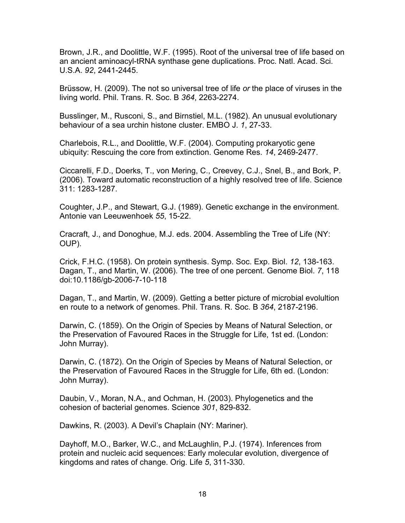Brown, J.R., and Doolittle, W.F. (1995). Root of the universal tree of life based on an ancient aminoacyl-tRNA synthase gene duplications. Proc. Natl. Acad. Sci. U.S.A. *92*, 2441-2445.

Brüssow, H. (2009). The not so universal tree of life *or* the place of viruses in the living world. Phil. Trans. R. Soc. B *364*, 2263-2274.

Busslinger, M., Rusconi, S., and Birnstiel, M.L. (1982). An unusual evolutionary behaviour of a sea urchin histone cluster. EMBO J. *1*, 27-33.

Charlebois, R.L., and Doolittle, W.F. (2004). Computing prokaryotic gene ubiquity: Rescuing the core from extinction. Genome Res. *14*, 2469-2477.

Ciccarelli, F.D., Doerks, T., von Mering, C., Creevey, C.J., Snel, B., and Bork, P. (2006). Toward automatic reconstruction of a highly resolved tree of life. Science 311: 1283-1287.

Coughter, J.P., and Stewart, G.J. (1989). Genetic exchange in the environment. Antonie van Leeuwenhoek *55*, 15-22.

Cracraft, J., and Donoghue, M.J. eds. 2004. Assembling the Tree of Life (NY: OUP).

Crick, F.H.C. (1958). On protein synthesis. Symp. Soc. Exp. Biol. *12*, 138-163. Dagan, T., and Martin, W. (2006). The tree of one percent. Genome Biol. *7*, 118 doi:10.1186/gb-2006-7-10-118

Dagan, T., and Martin, W. (2009). Getting a better picture of microbial evolultion en route to a network of genomes. Phil. Trans. R. Soc. B *364*, 2187-2196.

Darwin, C. (1859). On the Origin of Species by Means of Natural Selection, or the Preservation of Favoured Races in the Struggle for Life, 1st ed. (London: John Murray).

Darwin, C. (1872). On the Origin of Species by Means of Natural Selection, or the Preservation of Favoured Races in the Struggle for Life, 6th ed. (London: John Murray).

Daubin, V., Moran, N.A., and Ochman, H. (2003). Phylogenetics and the cohesion of bacterial genomes. Science *301*, 829-832.

Dawkins, R. (2003). A Devil's Chaplain (NY: Mariner).

Dayhoff, M.O., Barker, W.C., and McLaughlin, P.J. (1974). Inferences from protein and nucleic acid sequences: Early molecular evolution, divergence of kingdoms and rates of change. Orig. Life *5*, 311-330.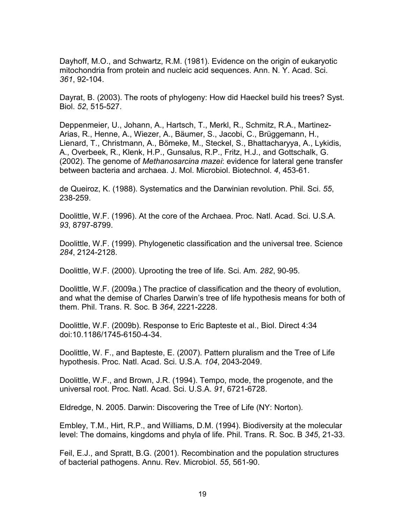Dayhoff, M.O., and Schwartz, R.M. (1981). Evidence on the origin of eukaryotic mitochondria from protein and nucleic acid sequences. Ann. N. Y. Acad. Sci. *361*, 92-104.

Dayrat, B. (2003). The roots of phylogeny: How did Haeckel build his trees? Syst. Biol. *52*, 515-527.

Deppenmeier, U., Johann, A., Hartsch, T., Merkl, R., Schmitz, R.A., Martinez-Arias, R., Henne, A., Wiezer, A., Bäumer, S., Jacobi, C., Brüggemann, H., Lienard, T., Christmann, A., Bömeke, M., Steckel, S., Bhattacharyya, A., Lykidis, A., Overbeek, R., Klenk, H.P., Gunsalus, R.P., Fritz, H.J., and Gottschalk, G. (2002). The genome of *Methanosarcina mazei*: evidence for lateral gene transfer between bacteria and archaea. J. Mol. Microbiol. Biotechnol. *4*, 453-61.

de Queiroz, K. (1988). Systematics and the Darwinian revolution. Phil. Sci. *55*, 238-259.

Doolittle, W.F. (1996). At the core of the Archaea. Proc. Natl. Acad. Sci. U.S.A. *93*, 8797-8799.

Doolittle, W.F. (1999). Phylogenetic classification and the universal tree. Science *284*, 2124-2128.

Doolittle, W.F. (2000). Uprooting the tree of life. Sci. Am. *282*, 90-95.

Doolittle, W.F. (2009a.) The practice of classification and the theory of evolution, and what the demise of Charles Darwin's tree of life hypothesis means for both of them. Phil. Trans. R. Soc. B *364*, 2221-2228.

Doolittle, W.F. (2009b). Response to Eric Bapteste et al., Biol. Direct 4:34 doi:10.1186/1745-6150-4-34.

Doolittle, W. F., and Bapteste, E. (2007). Pattern pluralism and the Tree of Life hypothesis. Proc. Natl. Acad. Sci. U.S.A. *104*, 2043-2049.

Doolittle, W.F., and Brown, J.R. (1994). Tempo, mode, the progenote, and the universal root. Proc. Natl. Acad. Sci. U.S.A. *91*, 6721-6728.

Eldredge, N. 2005. Darwin: Discovering the Tree of Life (NY: Norton).

Embley, T.M., Hirt, R.P., and Williams, D.M. (1994). Biodiversity at the molecular level: The domains, kingdoms and phyla of life. Phil. Trans. R. Soc. B *345*, 21-33.

Feil, E.J., and Spratt, B.G. (2001). Recombination and the population structures of bacterial pathogens. Annu. Rev. Microbiol. *55*, 561-90.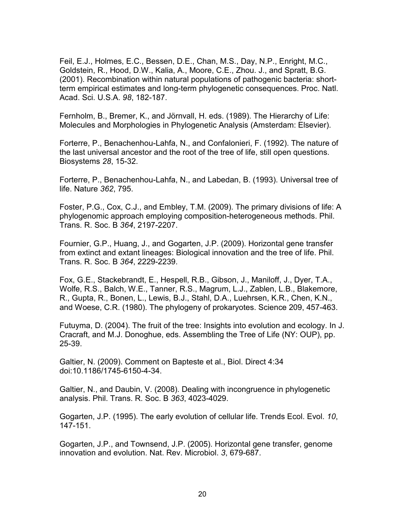Feil, E.J., Holmes, E.C., Bessen, D.E., Chan, M.S., Day, N.P., Enright, M.C., Goldstein, R., Hood, D.W., Kalia, A., Moore, C.E., Zhou. J., and Spratt, B.G. (2001). Recombination within natural populations of pathogenic bacteria: shortterm empirical estimates and long-term phylogenetic consequences. Proc. Natl. Acad. Sci. U.S.A. *98*, 182-187.

Fernholm, B., Bremer, K., and Jörnvall, H. eds. (1989). The Hierarchy of Life: Molecules and Morphologies in Phylogenetic Analysis (Amsterdam: Elsevier).

Forterre, P., Benachenhou-Lahfa, N., and Confalonieri, F. (1992). The nature of the last universal ancestor and the root of the tree of life, still open questions. Biosystems *28*, 15-32.

Forterre, P., Benachenhou-Lahfa, N., and Labedan, B. (1993). Universal tree of life. Nature *362*, 795.

Foster, P.G., Cox, C.J., and Embley, T.M. (2009). The primary divisions of life: A phylogenomic approach employing composition-heterogeneous methods. Phil. Trans. R. Soc. B *364*, 2197-2207.

Fournier, G.P., Huang, J., and Gogarten, J.P. (2009). Horizontal gene transfer from extinct and extant lineages: Biological innovation and the tree of life. Phil. Trans. R. Soc. B *364*, 2229-2239.

Fox, G.E., Stackebrandt, E., Hespell, R.B., Gibson, J., Maniloff, J., Dyer, T.A., Wolfe, R.S., Balch, W.E., Tanner, R.S., Magrum, L.J., Zablen, L.B., Blakemore, R., Gupta, R., Bonen, L., Lewis, B.J., Stahl, D.A., Luehrsen, K.R., Chen, K.N., and Woese, C.R. (1980). The phylogeny of prokaryotes. Science 209, 457-463.

Futuyma, D. (2004). The fruit of the tree: Insights into evolution and ecology. In J. Cracraft, and M.J. Donoghue, eds. Assembling the Tree of Life (NY: OUP), pp. 25-39.

Galtier, N. (2009). Comment on Bapteste et al., Biol. Direct 4:34 doi:10.1186/1745-6150-4-34.

Galtier, N., and Daubin, V. (2008). Dealing with incongruence in phylogenetic analysis. Phil. Trans. R. Soc. B *363*, 4023-4029.

Gogarten, J.P. (1995). The early evolution of cellular life. Trends Ecol. Evol. *10*, 147-151.

Gogarten, J.P., and Townsend, J.P. (2005). Horizontal gene transfer, genome innovation and evolution. Nat. Rev. Microbiol. *3*, 679-687.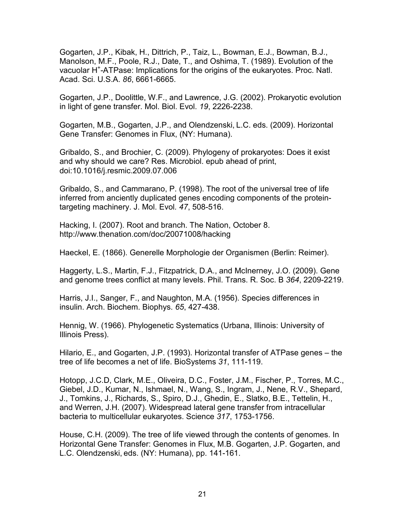Gogarten, J.P., Kibak, H., Dittrich, P., Taiz, L., Bowman, E.J., Bowman, B.J., Manolson, M.F., Poole, R.J., Date, T., and Oshima, T. (1989). Evolution of the vacuolar H<sup>+</sup>-ATPase: Implications for the origins of the eukaryotes. Proc. Natl. Acad. Sci. U.S.A. *86*, 6661-6665.

Gogarten, J.P., Doolittle, W.F., and Lawrence, J.G. (2002). Prokaryotic evolution in light of gene transfer. Mol. Biol. Evol. *19*, 2226-2238.

Gogarten, M.B., Gogarten, J.P., and Olendzenski, L.C. eds. (2009). Horizontal Gene Transfer: Genomes in Flux, (NY: Humana).

Gribaldo, S., and Brochier, C. (2009). Phylogeny of prokaryotes: Does it exist and why should we care? Res. Microbiol. epub ahead of print, doi:10.1016/j.resmic.2009.07.006

Gribaldo, S., and Cammarano, P. (1998). The root of the universal tree of life inferred from anciently duplicated genes encoding components of the proteintargeting machinery. J. Mol. Evol*. 47*, 508-516.

Hacking, I. (2007). Root and branch. The Nation, October 8. http://www.thenation.com/doc/20071008/hacking

Haeckel, E. (1866). Generelle Morphologie der Organismen (Berlin: Reimer).

Haggerty, L.S., Martin, F.J., Fitzpatrick, D.A., and McInerney, J.O. (2009). Gene and genome trees conflict at many levels. Phil. Trans. R. Soc. B *364*, 2209-2219.

Harris, J.I., Sanger, F., and Naughton, M.A. (1956). Species differences in insulin. Arch. Biochem. Biophys. *65*, 427-438.

Hennig, W. (1966). Phylogenetic Systematics (Urbana, Illinois: University of Illinois Press).

Hilario, E., and Gogarten, J.P. (1993). Horizontal transfer of ATPase genes – the tree of life becomes a net of life. BioSystems *31*, 111-119.

Hotopp, J.C.D, Clark, M.E., Oliveira, D.C., Foster, J.M., Fischer, P., Torres, M.C., Giebel, J.D., Kumar, N., Ishmael, N., Wang, S., Ingram, J., Nene, R.V., Shepard, J., Tomkins, J., Richards, S., Spiro, D.J., Ghedin, E., Slatko, B.E., Tettelin, H., and Werren, J.H. (2007). Widespread lateral gene transfer from intracellular bacteria to multicellular eukaryotes. Science *317*, 1753-1756.

House, C.H. (2009). The tree of life viewed through the contents of genomes. In Horizontal Gene Transfer: Genomes in Flux, M.B. Gogarten, J.P. Gogarten, and L.C. Olendzenski, eds. (NY: Humana), pp. 141-161.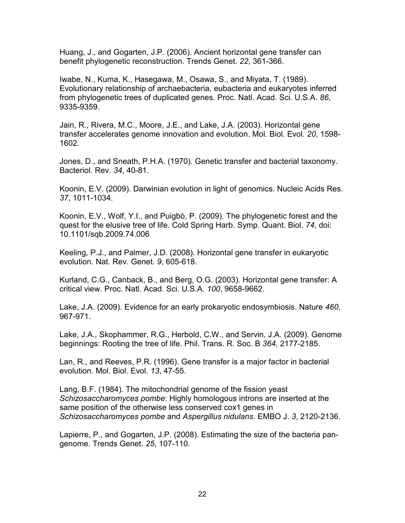Huang, J., and Gogarten, J.P. (2006). Ancient horizontal gene transfer can benefit phylogenetic reconstruction. Trends Genet. *22*, 361-366.

Iwabe, N., Kuma, K., Hasegawa, M., Osawa, S., and Miyata, T. (1989). Evolutionary relationship of archaebacteria, eubacteria and eukaryotes inferred from phylogenetic trees of duplicated genes. Proc. Natl. Acad. Sci. U.S.A. *86*, 9335-9359.

Jain, R., Rivera, M.C., Moore, J.E., and Lake, J.A. (2003). Horizontal gene transfer accelerates genome innovation and evolution. Mol. Biol. Evol. *20*, 1598- 1602.

Jones, D., and Sneath, P.H.A. (1970). Genetic transfer and bacterial taxonomy. Bacteriol. Rev. *34*, 40-81.

Koonin, E.V. (2009). Darwinian evolution in light of genomics. Nucleic Acids Res. *37*, 1011-1034.

Koonin, E.V., Wolf, Y.I., and Puigbò, P. (2009). The phylogenetic forest and the quest for the elusive tree of life. Cold Spring Harb. Symp. Quant. Biol. *74*, doi: 10.1101/sqb.2009.74.006

Keeling, P.J., and Palmer, J.D. (2008). Horizontal gene transfer in eukaryotic evolution. Nat. Rev. Genet. *9*, 605-618.

Kurland, C.G., Canback, B., and Berg, O.G. (2003). Horizontal gene transfer: A critical view. Proc. Natl. Acad. Sci. U.S.A. *100*, 9658-9662.

Lake, J.A. (2009). Evidence for an early prokaryotic endosymbiosis. Nature *460*, 967-971.

Lake, J.A., Skophammer, R.G., Herbold, C.W., and Servin, J.A. (2009). Genome beginnings: Rooting the tree of life. Phil. Trans. R. Soc. B *364*, 2177-2185.

Lan, R., and Reeves, P.R. (1996). Gene transfer is a major factor in bacterial evolution. Mol. Biol. Evol. *13*, 47-55.

Lang, B.F. (1984). The mitochondrial genome of the fission yeast *Schizosaccharomyces pombe*: Highly homologous introns are inserted at the same position of the otherwise less conserved cox1 genes in *Schizosaccharomyces pombe* and *Aspergillus nidulans*. EMBO J. *3*, 2120-2136.

Lapierre, P., and Gogarten, J.P. (2008). Estimating the size of the bacteria pangenome. Trends Genet. *25*, 107-110.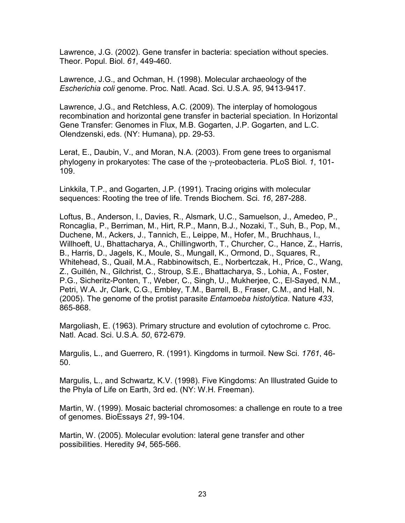Lawrence, J.G. (2002). Gene transfer in bacteria: speciation without species. Theor. Popul. Biol. *61*, 449-460.

Lawrence, J.G., and Ochman, H. (1998). Molecular archaeology of the *Escherichia coli* genome. Proc. Natl. Acad. Sci. U.S.A. *95*, 9413-9417.

Lawrence, J.G., and Retchless, A.C. (2009). The interplay of homologous recombination and horizontal gene transfer in bacterial speciation. In Horizontal Gene Transfer: Genomes in Flux, M.B. Gogarten, J.P. Gogarten, and L.C. Olendzenski, eds. (NY: Humana), pp. 29-53.

Lerat, E., Daubin, V., and Moran, N.A. (2003). From gene trees to organismal phylogeny in prokaryotes: The case of the γ-proteobacteria. PLoS Biol. *1*, 101- 109.

Linkkila, T.P., and Gogarten, J.P. (1991). Tracing origins with molecular sequences: Rooting the tree of life. Trends Biochem. Sci. *16*, 287-288.

Loftus, B., Anderson, I., Davies, R., Alsmark, U.C., Samuelson, J., Amedeo, P., Roncaglia, P., Berriman, M., Hirt, R.P., Mann, B.J., Nozaki, T., Suh, B., Pop, M., Duchene, M., Ackers, J., Tannich, E., Leippe, M., Hofer, M., Bruchhaus, I., Willhoeft, U., Bhattacharya, A., Chillingworth, T., Churcher, C., Hance, Z., Harris, B., Harris, D., Jagels, K., Moule, S., Mungall, K., Ormond, D., Squares, R., Whitehead, S., Quail, M.A., Rabbinowitsch, E., Norbertczak, H., Price, C., Wang, Z., Guillén, N., Gilchrist, C., Stroup, S.E., Bhattacharya, S., Lohia, A., Foster, P.G., Sicheritz-Ponten, T., Weber, C., Singh, U., Mukherjee, C., El-Sayed, N.M., Petri, W.A. Jr, Clark, C.G., Embley, T.M., Barrell, B., Fraser, C.M., and Hall, N. (2005). The genome of the protist parasite *Entamoeba histolytica*. Nature *433*, 865-868.

Margoliash, E. (1963). Primary structure and evolution of cytochrome c. Proc. Natl. Acad. Sci. U.S.A. *50*, 672-679.

Margulis, L., and Guerrero, R. (1991). Kingdoms in turmoil. New Sci. *1761*, 46- 50.

Margulis, L., and Schwartz, K.V. (1998). Five Kingdoms: An Illustrated Guide to the Phyla of Life on Earth, 3rd ed. (NY: W.H. Freeman).

Martin, W. (1999). Mosaic bacterial chromosomes: a challenge en route to a tree of genomes. BioEssays *21*, 99-104.

Martin, W. (2005). Molecular evolution: lateral gene transfer and other possibilities. Heredity *94*, 565-566.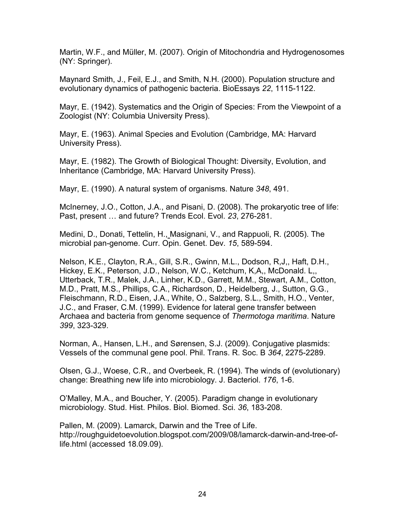Martin, W.F., and Müller, M. (2007). Origin of Mitochondria and Hydrogenosomes (NY: Springer).

Maynard Smith, J., Feil, E.J., and Smith, N.H. (2000). Population structure and evolutionary dynamics of pathogenic bacteria. BioEssays *22*, 1115-1122.

Mayr, E. (1942). Systematics and the Origin of Species: From the Viewpoint of a Zoologist (NY: Columbia University Press).

Mayr, E. (1963). Animal Species and Evolution (Cambridge, MA: Harvard University Press).

Mayr, E. (1982). The Growth of Biological Thought: Diversity, Evolution, and Inheritance (Cambridge, MA: Harvard University Press).

Mayr, E. (1990). A natural system of organisms. Nature *348*, 491.

McInerney, J.O., Cotton, J.A., and Pisani, D. (2008). The prokaryotic tree of life: Past, present … and future? Trends Ecol. Evol. *23*, 276-281.

Medini, D., Donati, Tettelin, H., Masignani, V., and Rappuoli, R. (2005). The microbial pan-genome. Curr. Opin. Genet. Dev. *15*, 589-594.

Nelson, K.E., Clayton, R.A., Gill, S.R., Gwinn, M.L., Dodson, R,J,, Haft, D.H., Hickey, E.K., Peterson, J.D., Nelson, W.C., Ketchum, K,A,, McDonald. L,, Utterback, T.R., Malek, J.A., Linher, K.D., Garrett, M.M., Stewart, A.M., Cotton, M.D., Pratt, M.S., Phillips, C.A., Richardson, D., Heidelberg, J., Sutton, G.G., Fleischmann, R.D., Eisen, J.A., White, O., Salzberg, S.L., Smith, H.O., Venter, J.C., and Fraser, C.M. (1999). Evidence for lateral gene transfer between Archaea and bacteria from genome sequence of *Thermotoga maritima*. Nature *399*, 323-329.

Norman, A., Hansen, L.H., and Sørensen, S.J. (2009). Conjugative plasmids: Vessels of the communal gene pool. Phil. Trans. R. Soc. B *364*, 2275-2289.

Olsen, G.J., Woese, C.R., and Overbeek, R. (1994). The winds of (evolutionary) change: Breathing new life into microbiology. J. Bacteriol. *176*, 1-6.

O'Malley, M.A., and Boucher, Y. (2005). Paradigm change in evolutionary microbiology. Stud. Hist. Philos. Biol. Biomed. Sci. *36*, 183-208.

Pallen, M. (2009). Lamarck, Darwin and the Tree of Life. http://roughguidetoevolution.blogspot.com/2009/08/lamarck-darwin-and-tree-oflife.html (accessed 18.09.09).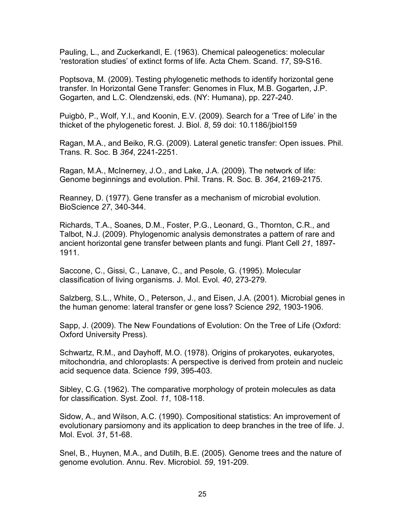Pauling, L., and Zuckerkandl, E. (1963). Chemical paleogenetics: molecular 'restoration studies' of extinct forms of life. Acta Chem. Scand. *17*, S9-S16.

Poptsova, M. (2009). Testing phylogenetic methods to identify horizontal gene transfer. In Horizontal Gene Transfer: Genomes in Flux, M.B. Gogarten, J.P. Gogarten, and L.C. Olendzenski, eds. (NY: Humana), pp. 227-240.

Puigbò, P., Wolf, Y.I., and Koonin, E.V. (2009). Search for a 'Tree of Life' in the thicket of the phylogenetic forest. J. Biol. *8*, 59 doi: 10.1186/jbiol159

Ragan, M.A., and Beiko, R.G. (2009). Lateral genetic transfer: Open issues. Phil. Trans. R. Soc. B *364*, 2241-2251.

Ragan, M.A., McInerney, J.O., and Lake, J.A. (2009). The network of life: Genome beginnings and evolution. Phil. Trans. R. Soc. B. *364*, 2169-2175.

Reanney, D. (1977). Gene transfer as a mechanism of microbial evolution. BioScience *27*, 340-344.

Richards, T.A., Soanes, D.M., Foster, P.G., Leonard, G., Thornton, C.R., and Talbot, N.J. (2009). Phylogenomic analysis demonstrates a pattern of rare and ancient horizontal gene transfer between plants and fungi. Plant Cell *21*, 1897- 1911.

Saccone, C., Gissi, C., Lanave, C., and Pesole, G. (1995). Molecular classification of living organisms. J. Mol. Evol*. 40*, 273-279.

Salzberg, S.L., White, O., Peterson, J., and Eisen, J.A. (2001). Microbial genes in the human genome: lateral transfer or gene loss? Science *292*, 1903-1906.

Sapp, J. (2009). The New Foundations of Evolution: On the Tree of Life (Oxford: Oxford University Press).

Schwartz, R.M., and Dayhoff, M.O. (1978). Origins of prokaryotes, eukaryotes, mitochondria, and chloroplasts: A perspective is derived from protein and nucleic acid sequence data. Science *199*, 395-403.

Sibley, C.G. (1962). The comparative morphology of protein molecules as data for classification. Syst. Zool. *11*, 108-118.

Sidow, A., and Wilson, A.C. (1990). Compositional statistics: An improvement of evolutionary parsiomony and its application to deep branches in the tree of life. J. Mol. Evol*. 31*, 51-68.

Snel, B., Huynen, M.A., and Dutilh, B.E. (2005). Genome trees and the nature of genome evolution. Annu. Rev. Microbiol. *59*, 191-209.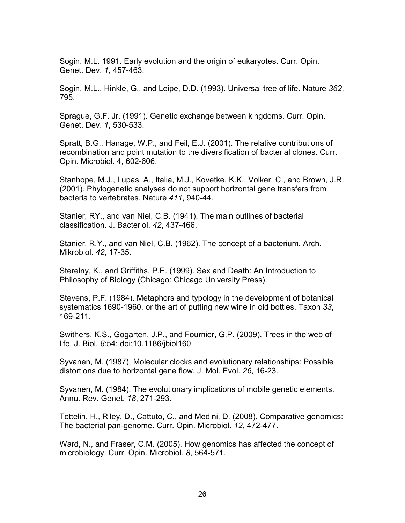Sogin, M.L. 1991. Early evolution and the origin of eukaryotes. Curr. Opin. Genet. Dev. *1*, 457-463.

Sogin, M.L., Hinkle, G., and Leipe, D.D. (1993). Universal tree of life. Nature *362*, 795.

Sprague, G.F. Jr. (1991). Genetic exchange between kingdoms. Curr. Opin. Genet. Dev. *1*, 530-533.

Spratt, B.G., Hanage, W.P., and Feil, E.J. (2001). The relative contributions of recombination and point mutation to the diversification of bacterial clones. Curr. Opin. Microbiol. 4, 602-606.

Stanhope, M.J., Lupas, A., Italia, M.J., Kovetke, K.K., Volker, C., and Brown, J.R. (2001). Phylogenetic analyses do not support horizontal gene transfers from bacteria to vertebrates. Nature *411*, 940-44.

Stanier, RY., and van Niel, C.B. (1941). The main outlines of bacterial classification. J. Bacteriol. *42*, 437-466.

Stanier, R.Y., and van Niel, C.B. (1962). The concept of a bacterium. Arch. Mikrobiol. *42*, 17-35.

Sterelny, K., and Griffiths, P.E. (1999). Sex and Death: An Introduction to Philosophy of Biology (Chicago: Chicago University Press).

Stevens, P.F. (1984). Metaphors and typology in the development of botanical systematics 1690-1960, or the art of putting new wine in old bottles. Taxon *33*, 169-211.

Swithers, K.S., Gogarten, J.P., and Fournier, G.P. (2009). Trees in the web of life. J. Biol. *8*:54: doi:10.1186/jbiol160

Syvanen, M. (1987). Molecular clocks and evolutionary relationships: Possible distortions due to horizontal gene flow. J. Mol. Evol. *26*, 16-23.

Syvanen, M. (1984). The evolutionary implications of mobile genetic elements. Annu. Rev. Genet. *18*, 271-293.

Tettelin, H., Riley, D., Cattuto, C., and Medini, D. (2008). Comparative genomics: The bacterial pan-genome. Curr. Opin. Microbiol. *12*, 472-477.

Ward, N., and Fraser, C.M. (2005). How genomics has affected the concept of microbiology. Curr. Opin. Microbiol. *8*, 564-571.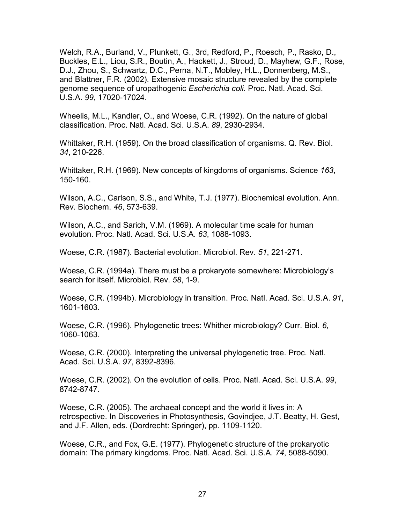Welch, R.A., Burland, V., Plunkett, G., 3rd, Redford, P., Roesch, P., Rasko, D., Buckles, E.L., Liou, S.R., Boutin, A., Hackett, J., Stroud, D., Mayhew, G.F., Rose, D.J., Zhou, S., Schwartz, D.C., Perna, N.T., Mobley, H.L., Donnenberg, M.S., and Blattner, F.R. (2002). Extensive mosaic structure revealed by the complete genome sequence of uropathogenic *Escherichia coli*. Proc. Natl. Acad. Sci. U.S.A. *99*, 17020-17024.

Wheelis, M.L., Kandler, O., and Woese, C.R. (1992). On the nature of global classification. Proc. Natl. Acad. Sci. U.S.A. *89*, 2930-2934.

Whittaker, R.H. (1959). On the broad classification of organisms. Q. Rev. Biol. *34*, 210-226.

Whittaker, R.H. (1969). New concepts of kingdoms of organisms. Science *163*, 150-160.

Wilson, A.C., Carlson, S.S., and White, T.J. (1977). Biochemical evolution. Ann. Rev. Biochem. *46*, 573-639.

Wilson, A.C., and Sarich, V.M. (1969). A molecular time scale for human evolution. Proc. Natl. Acad. Sci. U.S.A. *63*, 1088-1093.

Woese, C.R. (1987). Bacterial evolution. Microbiol. Rev. *51*, 221-271.

Woese, C.R. (1994a). There must be a prokaryote somewhere: Microbiology's search for itself. Microbiol. Rev. *58*, 1-9.

Woese, C.R. (1994b). Microbiology in transition. Proc. Natl. Acad. Sci. U.S.A. *91*, 1601-1603.

Woese, C.R. (1996). Phylogenetic trees: Whither microbiology? Curr. Biol*. 6*, 1060-1063.

Woese, C.R. (2000). Interpreting the universal phylogenetic tree. Proc. Natl. Acad. Sci. U.S.A. *97*, 8392-8396.

Woese, C.R. (2002). On the evolution of cells. Proc. Natl. Acad. Sci. U.S.A. *99*, 8742-8747.

Woese, C.R. (2005). The archaeal concept and the world it lives in: A retrospective. In Discoveries in Photosynthesis, Govindjee, J.T. Beatty, H. Gest, and J.F. Allen, eds. (Dordrecht: Springer), pp. 1109-1120.

Woese, C.R., and Fox, G.E. (1977). Phylogenetic structure of the prokaryotic domain: The primary kingdoms. Proc. Natl. Acad. Sci. U.S.A. *74*, 5088-5090.